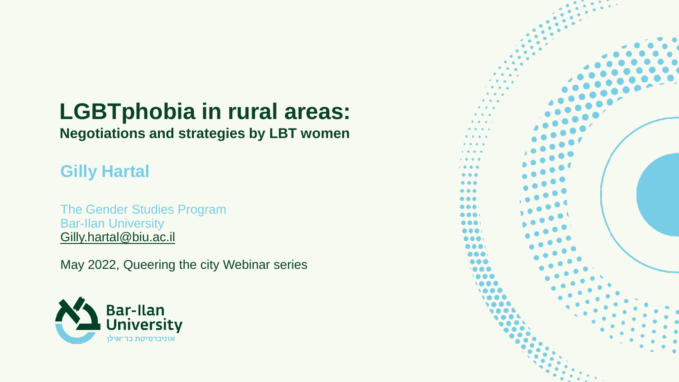## **LGBTphobia in rural areas:**

### **Negotiations and strategies by LBT women**

**Gilly Hartal**

The Gender Studies Program Bar-Ilan University [Gilly.hartal@biu.ac.il](mailto:Gilly.hartal@biu.ac.il)

May 2022, Queering the city Webinar series



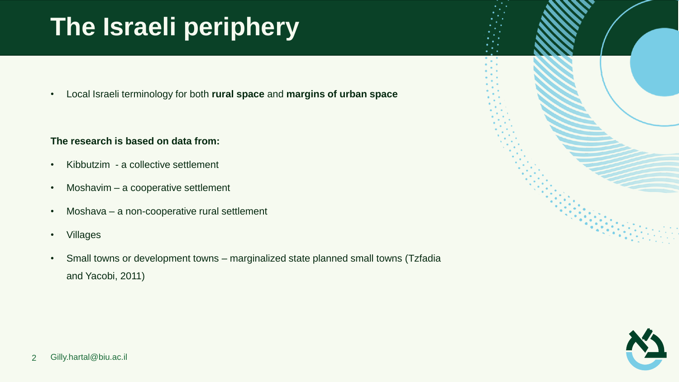## **The Israeli periphery**

• Local Israeli terminology for both **rural space** and **margins of urban space**

### **The research is based on data from:**

- Kibbutzim a collective settlement
- Moshavim a cooperative settlement
- Moshava a non-cooperative rural settlement
- Villages
- Small towns or development towns marginalized state planned small towns (Tzfadia and Yacobi, 2011)



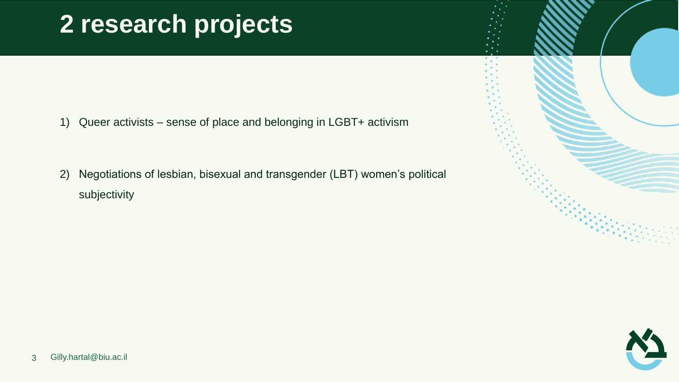## **2 research projects**

- 1) Queer activists sense of place and belonging in LGBT+ activism
- 2) Negotiations of lesbian, bisexual and transgender (LBT) women's political subjectivity



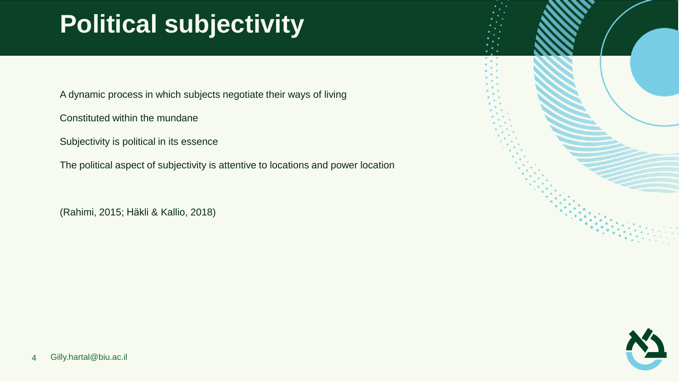## **Political subjectivity**

A dynamic process in which subjects negotiate their ways of living

Constituted within the mundane

Subjectivity is political in its essence

The political aspect of subjectivity is attentive to locations and power location

(Rahimi, 2015; Häkli & Kallio, 2018)



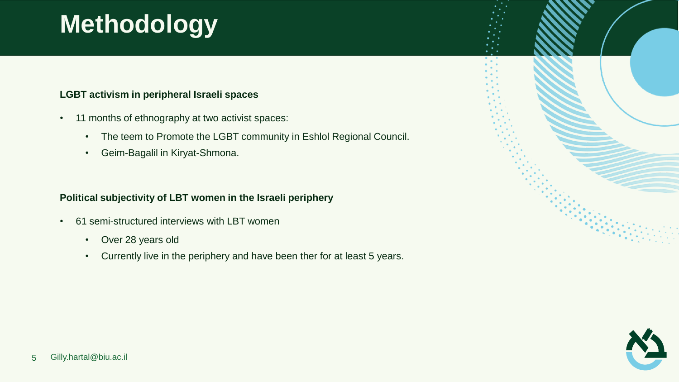## **Methodology**

### **LGBT activism in peripheral Israeli spaces**

- 11 months of ethnography at two activist spaces:
	- The teem to Promote the LGBT community in Eshlol Regional Council.
	- Geim-Bagalil in Kiryat-Shmona.

### **Political subjectivity of LBT women in the Israeli periphery**

- 61 semi-structured interviews with LBT women
	- Over 28 years old
	- Currently live in the periphery and have been ther for at least 5 years.



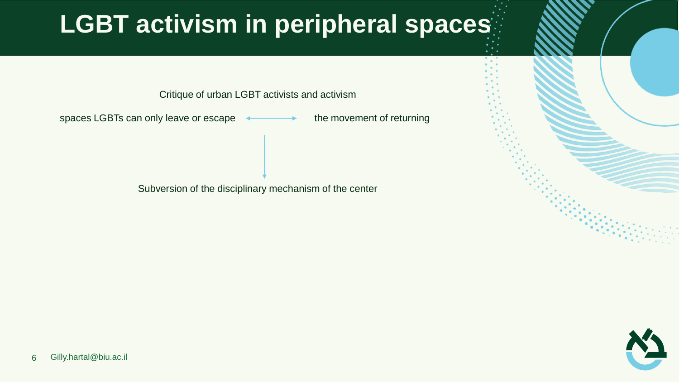## **LGBT activism in peripheral spaces**

Critique of urban LGBT activists and activism

spaces LGBTs can only leave or escape  $\longleftrightarrow$  the movement of returning

Subversion of the disciplinary mechanism of the center



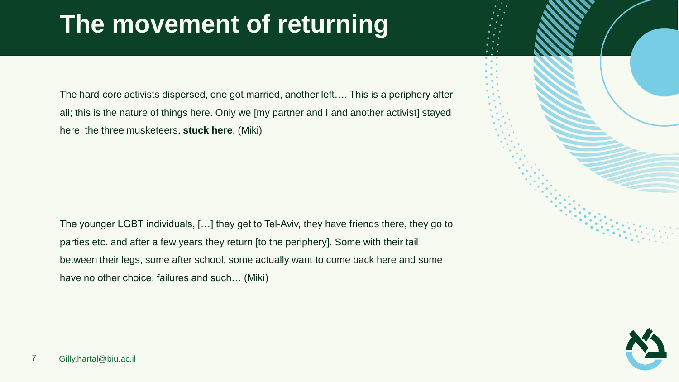## **The movement of returning**

The hard-core activists dispersed, one got married, another left…. This is a periphery after all; this is the nature of things here. Only we [my partner and I and another activist] stayed here, the three musketeers, **stuck here**. (Miki)

The younger LGBT individuals, […] they get to Tel-Aviv, they have friends there, they go to parties etc. and after a few years they return [to the periphery]. Some with their tail between their legs, some after school, some actually want to come back here and some have no other choice, failures and such… (Miki)



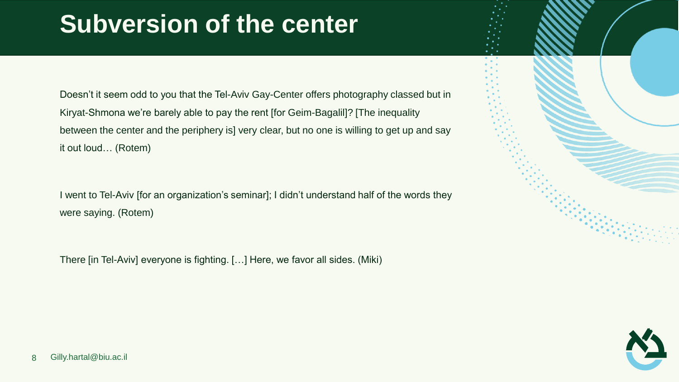## **Subversion of the center**

Doesn't it seem odd to you that the Tel-Aviv Gay-Center offers photography classed but in Kiryat-Shmona we're barely able to pay the rent [for Geim-Bagalil]? [The inequality between the center and the periphery is] very clear, but no one is willing to get up and say it out loud… (Rotem)

I went to Tel-Aviv [for an organization's seminar]; I didn't understand half of the words they were saying. (Rotem)

There [in Tel-Aviv] everyone is fighting. […] Here, we favor all sides. (Miki)



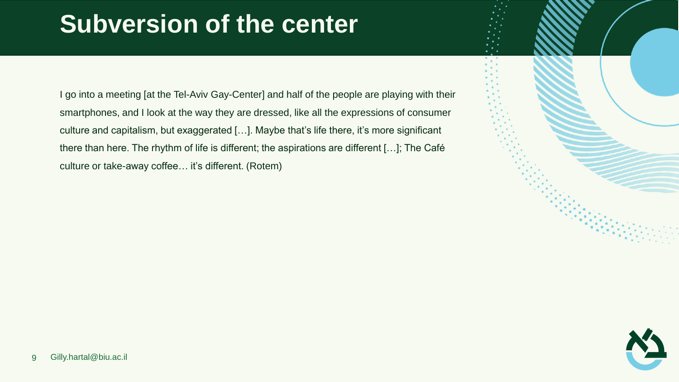## **Subversion of the center**

I go into a meeting [at the Tel-Aviv Gay-Center] and half of the people are playing with their smartphones, and I look at the way they are dressed, like all the expressions of consumer culture and capitalism, but exaggerated […]. Maybe that's life there, it's more significant there than here. The rhythm of life is different; the aspirations are different […]; The Café culture or take-away coffee… it's different. (Rotem)



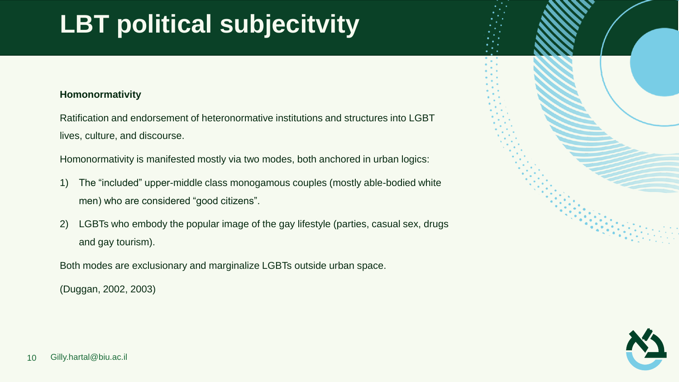# **LBT political subjecitvity**

#### **Homonormativity**

Ratification and endorsement of heteronormative institutions and structures into LGBT lives, culture, and discourse.

Homonormativity is manifested mostly via two modes, both anchored in urban logics:

- 1) The "included" upper-middle class monogamous couples (mostly able-bodied white men) who are considered "good citizens".
- 2) LGBTs who embody the popular image of the gay lifestyle (parties, casual sex, drugs and gay tourism).

Both modes are exclusionary and marginalize LGBTs outside urban space.

(Duggan, 2002, 2003)



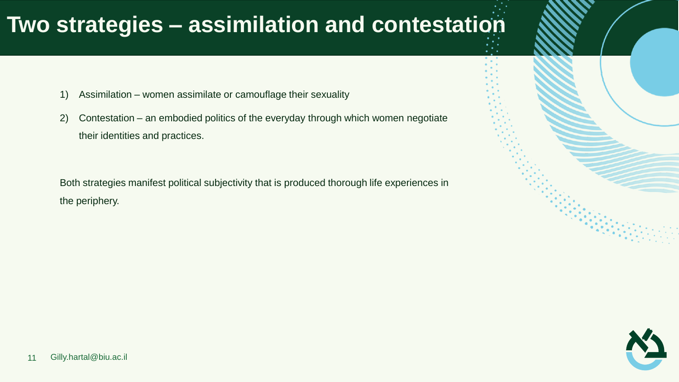## **Two strategies – assimilation and contestation**

- 1) Assimilation women assimilate or camouflage their sexuality
- 2) Contestation an embodied politics of the everyday through which women negotiate their identities and practices.

Both strategies manifest political subjectivity that is produced thorough life experiences in the periphery.



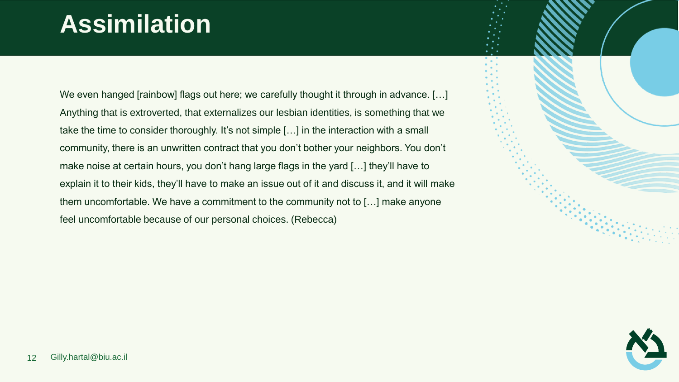## **Assimilation**

We even hanged [rainbow] flags out here; we carefully thought it through in advance. [...] Anything that is extroverted, that externalizes our lesbian identities, is something that we take the time to consider thoroughly. It's not simple [...] in the interaction with a small community, there is an unwritten contract that you don't bother your neighbors. You don't make noise at certain hours, you don't hang large flags in the yard […] they'll have to explain it to their kids, they'll have to make an issue out of it and discuss it, and it will make them uncomfortable. We have a commitment to the community not to […] make anyone feel uncomfortable because of our personal choices. (Rebecca)



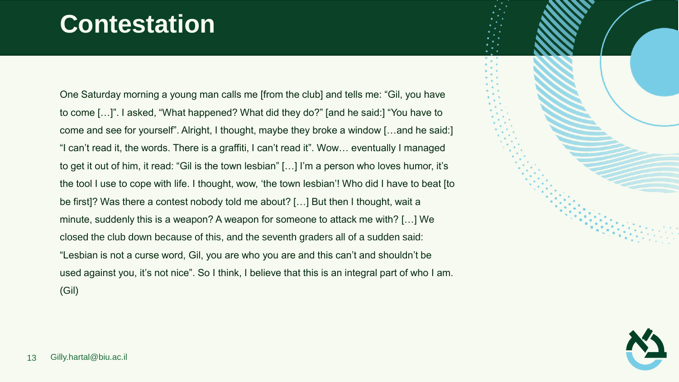## **Contestation**

One Saturday morning a young man calls me [from the club] and tells me: "Gil, you have to come […]". I asked, "What happened? What did they do?" [and he said:] "You have to come and see for yourself". Alright, I thought, maybe they broke a window […and he said:] "I can't read it, the words. There is a graffiti, I can't read it". Wow… eventually I managed to get it out of him, it read: "Gil is the town lesbian" […] I'm a person who loves humor, it's the tool I use to cope with life. I thought, wow, 'the town lesbian'! Who did I have to beat [to be first]? Was there a contest nobody told me about? […] But then I thought, wait a minute, suddenly this is a weapon? A weapon for someone to attack me with? […] We closed the club down because of this, and the seventh graders all of a sudden said: "Lesbian is not a curse word, Gil, you are who you are and this can't and shouldn't be used against you, it's not nice". So I think, I believe that this is an integral part of who I am. (Gil)



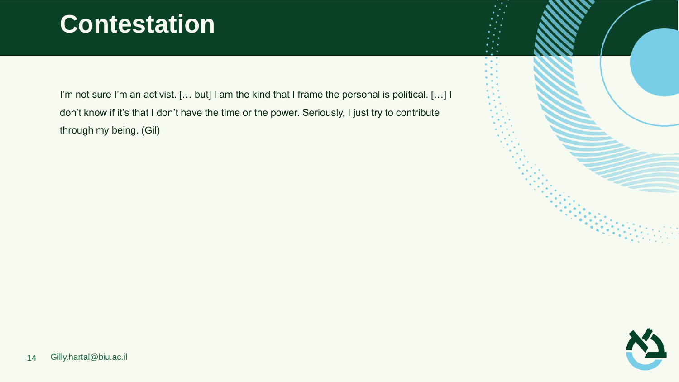## **Contestation**

I'm not sure I'm an activist. [… but] I am the kind that I frame the personal is political. […] I don't know if it's that I don't have the time or the power. Seriously, I just try to contribute through my being. (Gil)



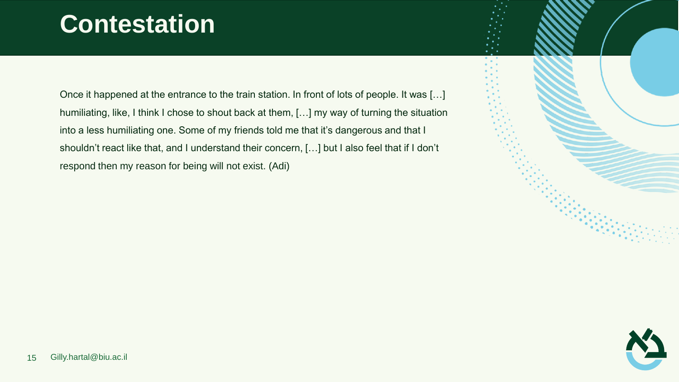## **Contestation**

Once it happened at the entrance to the train station. In front of lots of people. It was […] humiliating, like, I think I chose to shout back at them, [...] my way of turning the situation into a less humiliating one. Some of my friends told me that it's dangerous and that I shouldn't react like that, and I understand their concern, […] but I also feel that if I don't respond then my reason for being will not exist. (Adi)



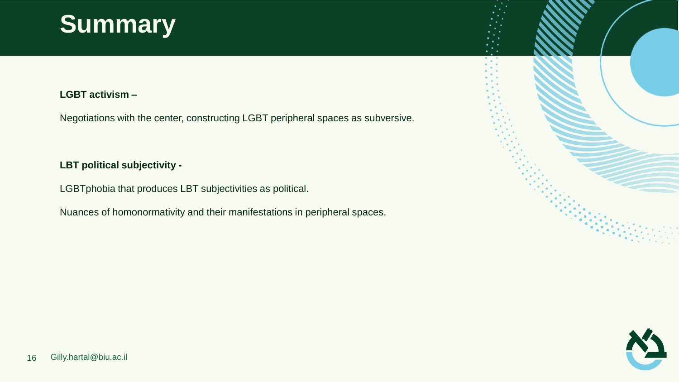## **Summary**

### **LGBT activism –**

Negotiations with the center, constructing LGBT peripheral spaces as subversive.

### **LBT political subjectivity -**

LGBTphobia that produces LBT subjectivities as political.

Nuances of homonormativity and their manifestations in peripheral spaces.